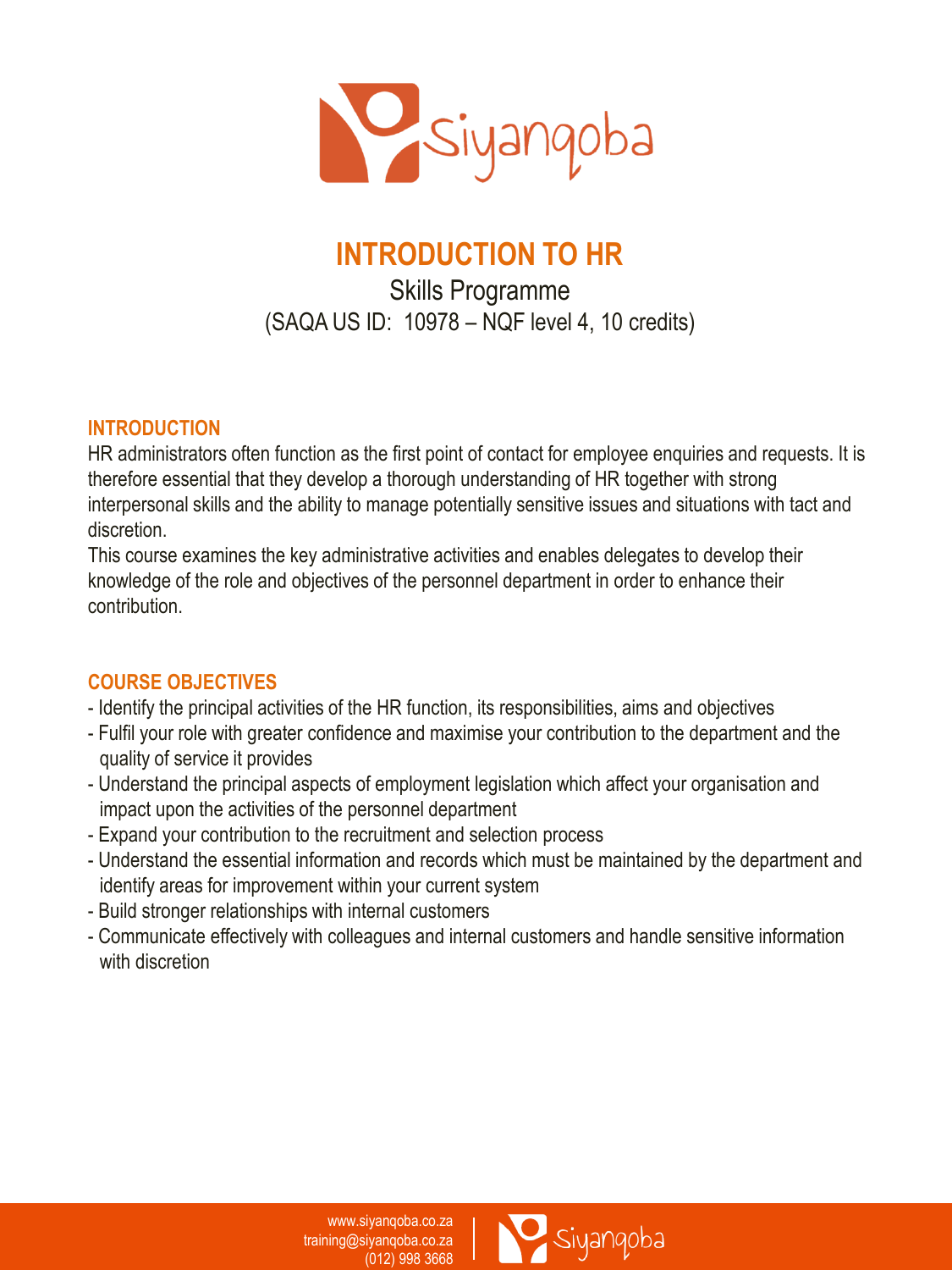

# **INTRODUCTION TO HR**

Skills Programme (SAQA US ID: 10978 – NQF level 4, 10 credits)

#### **INTRODUCTION**

HR administrators often function as the first point of contact for employee enquiries and requests. It is therefore essential that they develop a thorough understanding of HR together with strong interpersonal skills and the ability to manage potentially sensitive issues and situations with tact and discretion.

This course examines the key administrative activities and enables delegates to develop their knowledge of the role and objectives of the personnel department in order to enhance their contribution.

## **COURSE OBJECTIVES**

- Identify the principal activities of the HR function, its responsibilities, aims and objectives
- Fulfil your role with greater confidence and maximise your contribution to the department and the quality of service it provides
- Understand the principal aspects of employment legislation which affect your organisation and impact upon the activities of the personnel department
- Expand your contribution to the recruitment and selection process
- Understand the essential information and records which must be maintained by the department and identify areas for improvement within your current system
- Build stronger relationships with internal customers
- Communicate effectively with colleagues and internal customers and handle sensitive information with discretion

www.siyanqoba.co.za training@siyanqoba.co.za (012) 998 3668